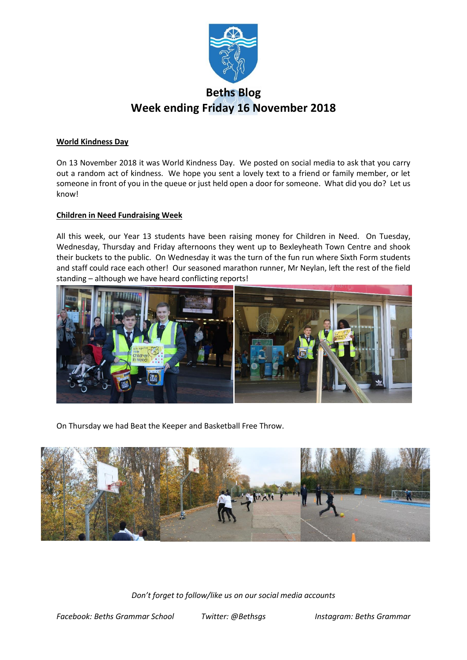

# **Beths Blog Week ending Friday 16 November 2018**

## **World Kindness Day**

On 13 November 2018 it was World Kindness Day. We posted on social media to ask that you carry out a random act of kindness. We hope you sent a lovely text to a friend or family member, or let someone in front of you in the queue or just held open a door for someone. What did you do? Let us know!

## **Children in Need Fundraising Week**

All this week, our Year 13 students have been raising money for Children in Need. On Tuesday, Wednesday, Thursday and Friday afternoons they went up to Bexleyheath Town Centre and shook their buckets to the public. On Wednesday it was the turn of the fun run where Sixth Form students and staff could race each other! Our seasoned marathon runner, Mr Neylan, left the rest of the field standing – although we have heard conflicting reports!



On Thursday we had Beat the Keeper and Basketball Free Throw.

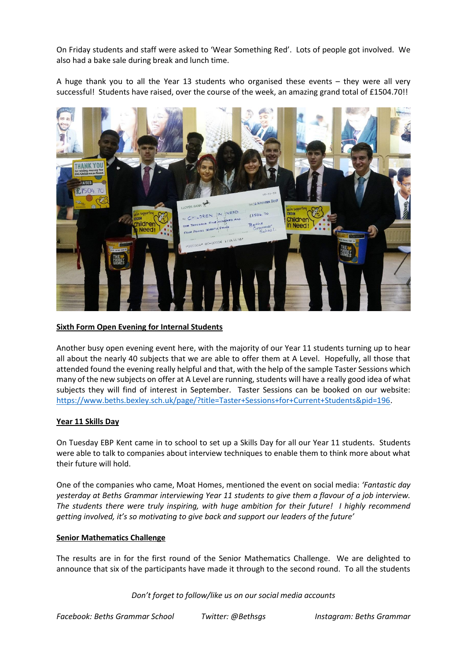On Friday students and staff were asked to 'Wear Something Red'. Lots of people got involved. We also had a bake sale during break and lunch time.

A huge thank you to all the Year 13 students who organised these events – they were all very successful! Students have raised, over the course of the week, an amazing grand total of £1504.70!!



# **Sixth Form Open Evening for Internal Students**

Another busy open evening event here, with the majority of our Year 11 students turning up to hear all about the nearly 40 subjects that we are able to offer them at A Level. Hopefully, all those that attended found the evening really helpful and that, with the help of the sample Taster Sessions which many of the new subjects on offer at A Level are running, students will have a really good idea of what subjects they will find of interest in September. Taster Sessions can be booked on our website: [https://www.beths.bexley.sch.uk/page/?title=Taster+Sessions+for+Current+Students&pid=196.](https://www.beths.bexley.sch.uk/page/?title=Taster+Sessions+for+Current+Students&pid=196)

#### **Year 11 Skills Day**

On Tuesday EBP Kent came in to school to set up a Skills Day for all our Year 11 students. Students were able to talk to companies about interview techniques to enable them to think more about what their future will hold.

One of the companies who came, Moat Homes, mentioned the event on social media: *'Fantastic day yesterday at Beths Grammar interviewing Year 11 students to give them a flavour of a job interview. The students there were truly inspiring, with huge ambition for their future! I highly recommend getting involved, it's so motivating to give back and support our leaders of the future'*

#### **Senior Mathematics Challenge**

The results are in for the first round of the Senior Mathematics Challenge. We are delighted to announce that six of the participants have made it through to the second round. To all the students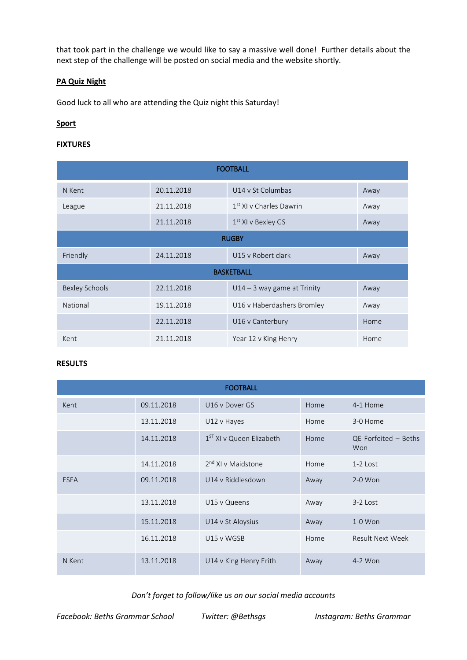that took part in the challenge we would like to say a massive well done! Further details about the next step of the challenge will be posted on social media and the website shortly.

# **PA Quiz Night**

Good luck to all who are attending the Quiz night this Saturday!

# **Sport**

## **FIXTURES**

| <b>FOOTBALL</b>       |            |                                     |      |  |  |  |  |  |
|-----------------------|------------|-------------------------------------|------|--|--|--|--|--|
| N Kent                | 20.11.2018 | U14 v St Columbas                   | Away |  |  |  |  |  |
| League                | 21.11.2018 | 1 <sup>st</sup> XI v Charles Dawrin | Away |  |  |  |  |  |
|                       | 21.11.2018 | 1 <sup>st</sup> XI v Bexley GS      | Away |  |  |  |  |  |
| <b>RUGBY</b>          |            |                                     |      |  |  |  |  |  |
| Friendly              | 24.11.2018 | U15 v Robert clark                  | Away |  |  |  |  |  |
| <b>BASKETBALL</b>     |            |                                     |      |  |  |  |  |  |
| <b>Bexley Schools</b> | 22.11.2018 | $U14 - 3$ way game at Trinity       | Away |  |  |  |  |  |
| National              | 19.11.2018 | U16 v Haberdashers Bromley          | Away |  |  |  |  |  |
|                       | 22.11.2018 | U16 v Canterbury                    | Home |  |  |  |  |  |
| Kent                  | 21.11.2018 | Year 12 v King Henry                | Home |  |  |  |  |  |

#### **RESULTS**

| <b>FOOTBALL</b> |            |                                |      |                             |  |  |  |  |
|-----------------|------------|--------------------------------|------|-----------------------------|--|--|--|--|
| Kent            | 09.11.2018 | U16 v Dover GS                 | Home | 4-1 Home                    |  |  |  |  |
|                 | 13.11.2018 | U12 v Hayes                    | Home | 3-0 Home                    |  |  |  |  |
|                 | 14.11.2018 | $1ST$ XI v Queen Elizabeth     | Home | QE Forfeited - Beths<br>Won |  |  |  |  |
|                 | 14.11.2018 | 2 <sup>nd</sup> XI v Maidstone | Home | $1-2$ Lost                  |  |  |  |  |
| <b>ESFA</b>     | 09.11.2018 | U14 v Riddlesdown              | Away | $2-0$ Won                   |  |  |  |  |
|                 | 13.11.2018 | U15 v Queens                   | Away | 3-2 Lost                    |  |  |  |  |
|                 | 15.11.2018 | U14 v St Aloysius              | Away | $1-0$ Won                   |  |  |  |  |
|                 | 16.11.2018 | U15 v WGSB                     | Home | <b>Result Next Week</b>     |  |  |  |  |
| N Kent          | 13.11.2018 | U14 v King Henry Erith         | Away | $4-2$ Won                   |  |  |  |  |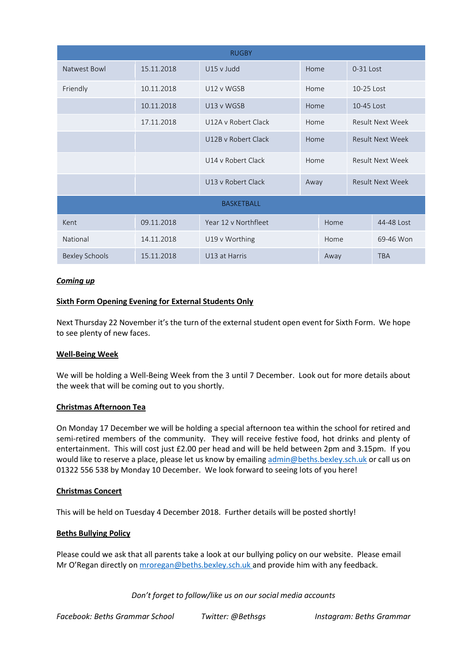| <b>RUGBY</b>          |            |                              |      |      |                         |            |  |  |  |
|-----------------------|------------|------------------------------|------|------|-------------------------|------------|--|--|--|
| Natwest Bowl          | 15.11.2018 | U15 v Judd                   | Home |      | 0-31 Lost               |            |  |  |  |
| Friendly              | 10.11.2018 | U12 v WGSB                   | Home |      | 10-25 Lost              |            |  |  |  |
|                       | 10.11.2018 | U13 v WGSB                   | Home |      | 10-45 Lost              |            |  |  |  |
|                       | 17.11.2018 | U12A v Robert Clack          | Home |      | <b>Result Next Week</b> |            |  |  |  |
|                       |            | U12B v Robert Clack          | Home |      | <b>Result Next Week</b> |            |  |  |  |
|                       |            | U14 v Robert Clack           | Home |      | <b>Result Next Week</b> |            |  |  |  |
|                       |            | U13 v Robert Clack           | Away |      | <b>Result Next Week</b> |            |  |  |  |
| <b>BASKETBALL</b>     |            |                              |      |      |                         |            |  |  |  |
| Kent                  | 09.11.2018 | Year 12 v Northfleet<br>Home |      |      | 44-48 Lost              |            |  |  |  |
| National              | 14.11.2018 | U19 v Worthing               | Home |      |                         | 69-46 Won  |  |  |  |
| <b>Bexley Schools</b> | 15.11.2018 | U13 at Harris                |      | Away |                         | <b>TBA</b> |  |  |  |

# *Coming up*

## **Sixth Form Opening Evening for External Students Only**

Next Thursday 22 November it's the turn of the external student open event for Sixth Form. We hope to see plenty of new faces.

#### **Well-Being Week**

We will be holding a Well-Being Week from the 3 until 7 December. Look out for more details about the week that will be coming out to you shortly.

#### **Christmas Afternoon Tea**

On Monday 17 December we will be holding a special afternoon tea within the school for retired and semi-retired members of the community. They will receive festive food, hot drinks and plenty of entertainment. This will cost just £2.00 per head and will be held between 2pm and 3.15pm. If you would like to reserve a place, please let us know by emailing [admin@beths.bexley.sch.uk](mailto:admin@beths.bexley.sch.uk) or call us on 01322 556 538 by Monday 10 December. We look forward to seeing lots of you here!

#### **Christmas Concert**

This will be held on Tuesday 4 December 2018. Further details will be posted shortly!

# **Beths Bullying Policy**

Please could we ask that all parents take a look at our bullying policy on our website. Please email Mr O'Regan directly on [mroregan@beths.bexley.sch.uk](mailto:mroregan@beths.bexley.sch.uk) and provide him with any feedback.